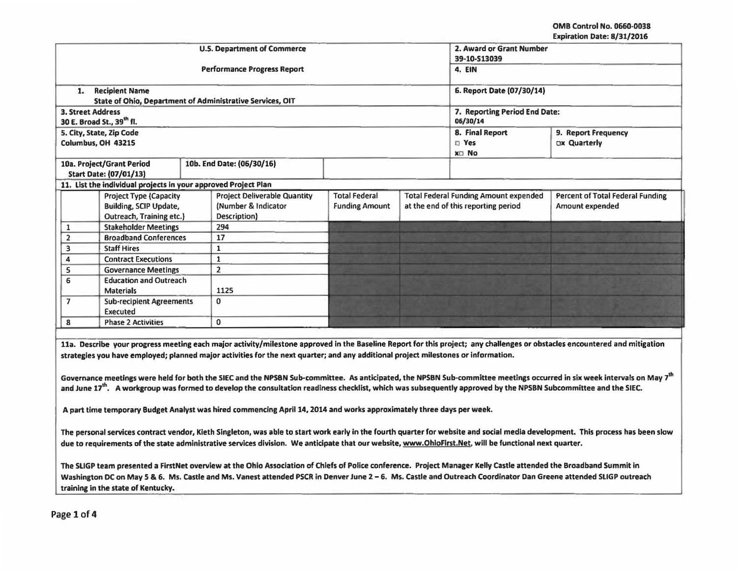OMB Control No. 0660-0038 Expiration Date: 8/31/2016

|                                                                                                                                                                                                                                                                                                                                                                    |                                                                |  |                                                                                                                                                                                                                                                                                                                                        |                               |                                     |                                              | <b>EXPIRATION DATE: 0/31/2010</b>                                                                                                                                               |  |
|--------------------------------------------------------------------------------------------------------------------------------------------------------------------------------------------------------------------------------------------------------------------------------------------------------------------------------------------------------------------|----------------------------------------------------------------|--|----------------------------------------------------------------------------------------------------------------------------------------------------------------------------------------------------------------------------------------------------------------------------------------------------------------------------------------|-------------------------------|-------------------------------------|----------------------------------------------|---------------------------------------------------------------------------------------------------------------------------------------------------------------------------------|--|
|                                                                                                                                                                                                                                                                                                                                                                    |                                                                |  | <b>U.S. Department of Commerce</b>                                                                                                                                                                                                                                                                                                     |                               | 2. Award or Grant Number            |                                              |                                                                                                                                                                                 |  |
|                                                                                                                                                                                                                                                                                                                                                                    |                                                                |  |                                                                                                                                                                                                                                                                                                                                        |                               | 39-10-S13039                        |                                              |                                                                                                                                                                                 |  |
|                                                                                                                                                                                                                                                                                                                                                                    |                                                                |  | <b>Performance Progress Report</b>                                                                                                                                                                                                                                                                                                     | <b>4. EIN</b>                 |                                     |                                              |                                                                                                                                                                                 |  |
|                                                                                                                                                                                                                                                                                                                                                                    | 1. Recipient Name                                              |  |                                                                                                                                                                                                                                                                                                                                        |                               | 6. Report Date (07/30/14)           |                                              |                                                                                                                                                                                 |  |
|                                                                                                                                                                                                                                                                                                                                                                    |                                                                |  | State of Ohio, Department of Administrative Services, OIT                                                                                                                                                                                                                                                                              |                               |                                     |                                              |                                                                                                                                                                                 |  |
|                                                                                                                                                                                                                                                                                                                                                                    | <b>3. Street Address</b>                                       |  |                                                                                                                                                                                                                                                                                                                                        | 7. Reporting Period End Date: |                                     |                                              |                                                                                                                                                                                 |  |
|                                                                                                                                                                                                                                                                                                                                                                    | 30 E. Broad St., 39th fl.                                      |  |                                                                                                                                                                                                                                                                                                                                        | 06/30/14                      |                                     |                                              |                                                                                                                                                                                 |  |
|                                                                                                                                                                                                                                                                                                                                                                    | 5. City, State, Zip Code                                       |  |                                                                                                                                                                                                                                                                                                                                        |                               | 8. Final Report                     | 9. Report Frequency                          |                                                                                                                                                                                 |  |
|                                                                                                                                                                                                                                                                                                                                                                    | Columbus, OH 43215                                             |  |                                                                                                                                                                                                                                                                                                                                        |                               | D Yes                               | <b>DX Quarterly</b>                          |                                                                                                                                                                                 |  |
|                                                                                                                                                                                                                                                                                                                                                                    |                                                                |  |                                                                                                                                                                                                                                                                                                                                        |                               |                                     | <b>XD No</b>                                 |                                                                                                                                                                                 |  |
|                                                                                                                                                                                                                                                                                                                                                                    | 10a. Project/Grant Period                                      |  | 10b. End Date: (06/30/16)                                                                                                                                                                                                                                                                                                              |                               |                                     |                                              |                                                                                                                                                                                 |  |
|                                                                                                                                                                                                                                                                                                                                                                    | <b>Start Date: (07/01/13)</b>                                  |  |                                                                                                                                                                                                                                                                                                                                        |                               |                                     |                                              |                                                                                                                                                                                 |  |
|                                                                                                                                                                                                                                                                                                                                                                    | 11. List the individual projects in your approved Project Plan |  |                                                                                                                                                                                                                                                                                                                                        |                               |                                     |                                              |                                                                                                                                                                                 |  |
|                                                                                                                                                                                                                                                                                                                                                                    | <b>Project Type (Capacity</b>                                  |  | <b>Project Deliverable Quantity</b>                                                                                                                                                                                                                                                                                                    | <b>Total Federal</b>          |                                     | <b>Total Federal Funding Amount expended</b> | Percent of Total Federal Funding                                                                                                                                                |  |
|                                                                                                                                                                                                                                                                                                                                                                    | <b>Building, SCIP Update,</b>                                  |  | (Number & Indicator                                                                                                                                                                                                                                                                                                                    | <b>Funding Amount</b>         | at the end of this reporting period |                                              | Amount expended                                                                                                                                                                 |  |
|                                                                                                                                                                                                                                                                                                                                                                    | Outreach, Training etc.)                                       |  | Description)                                                                                                                                                                                                                                                                                                                           |                               |                                     |                                              |                                                                                                                                                                                 |  |
| $\mathbf{1}$                                                                                                                                                                                                                                                                                                                                                       | <b>Stakeholder Meetings</b>                                    |  | 294                                                                                                                                                                                                                                                                                                                                    |                               |                                     |                                              |                                                                                                                                                                                 |  |
| $\overline{2}$                                                                                                                                                                                                                                                                                                                                                     | <b>Broadband Conferences</b>                                   |  | 17                                                                                                                                                                                                                                                                                                                                     |                               |                                     |                                              |                                                                                                                                                                                 |  |
| $\overline{3}$                                                                                                                                                                                                                                                                                                                                                     | <b>Staff Hires</b>                                             |  | $\mathbf{1}$                                                                                                                                                                                                                                                                                                                           |                               |                                     |                                              |                                                                                                                                                                                 |  |
| 4                                                                                                                                                                                                                                                                                                                                                                  | <b>Contract Executions</b>                                     |  | $\mathbf{1}$                                                                                                                                                                                                                                                                                                                           |                               |                                     |                                              |                                                                                                                                                                                 |  |
| 5                                                                                                                                                                                                                                                                                                                                                                  | <b>Governance Meetings</b>                                     |  | $\overline{2}$                                                                                                                                                                                                                                                                                                                         |                               |                                     |                                              |                                                                                                                                                                                 |  |
| 6                                                                                                                                                                                                                                                                                                                                                                  | <b>Education and Outreach</b>                                  |  |                                                                                                                                                                                                                                                                                                                                        |                               |                                     |                                              |                                                                                                                                                                                 |  |
|                                                                                                                                                                                                                                                                                                                                                                    | <b>Materials</b>                                               |  | 1125                                                                                                                                                                                                                                                                                                                                   |                               |                                     |                                              |                                                                                                                                                                                 |  |
| $\overline{7}$                                                                                                                                                                                                                                                                                                                                                     | <b>Sub-recipient Agreements</b>                                |  | $\Omega$                                                                                                                                                                                                                                                                                                                               |                               |                                     |                                              |                                                                                                                                                                                 |  |
|                                                                                                                                                                                                                                                                                                                                                                    | Executed                                                       |  |                                                                                                                                                                                                                                                                                                                                        |                               |                                     |                                              |                                                                                                                                                                                 |  |
| 8                                                                                                                                                                                                                                                                                                                                                                  | <b>Phase 2 Activities</b>                                      |  | $\bf{0}$                                                                                                                                                                                                                                                                                                                               |                               |                                     |                                              |                                                                                                                                                                                 |  |
|                                                                                                                                                                                                                                                                                                                                                                    |                                                                |  |                                                                                                                                                                                                                                                                                                                                        |                               |                                     |                                              |                                                                                                                                                                                 |  |
|                                                                                                                                                                                                                                                                                                                                                                    |                                                                |  | strategies you have employed; planned major activities for the next quarter; and any additional project milestones or information.                                                                                                                                                                                                     |                               |                                     |                                              | 11a. Describe your progress meeting each major activity/milestone approved in the Baseline Report for this project; any challenges or obstacles encountered and mitigation      |  |
| Governance meetings were held for both the SIEC and the NPSBN Sub-committee. As anticipated, the NPSBN Sub-committee meetings occurred in six week intervals on May 7 <sup>th</sup><br>and June 17 <sup>th</sup> . A workgroup was formed to develop the consultation readiness checklist, which was subsequently approved by the NPSBN Subcommittee and the SIEC. |                                                                |  |                                                                                                                                                                                                                                                                                                                                        |                               |                                     |                                              |                                                                                                                                                                                 |  |
| A part time temporary Budget Analyst was hired commencing April 14, 2014 and works approximately three days per week.                                                                                                                                                                                                                                              |                                                                |  |                                                                                                                                                                                                                                                                                                                                        |                               |                                     |                                              |                                                                                                                                                                                 |  |
|                                                                                                                                                                                                                                                                                                                                                                    |                                                                |  | due to requirements of the state administrative services division. We anticipate that our website, www.OhioFirst.Net, will be functional next quarter.                                                                                                                                                                                 |                               |                                     |                                              | The personal services contract vendor, Kieth Singleton, was able to start work early in the fourth quarter for website and social media development. This process has been slow |  |
|                                                                                                                                                                                                                                                                                                                                                                    | training in the state of Kentucky.                             |  | The SLIGP team presented a FirstNet overview at the Ohio Association of Chiefs of Police conference. Project Manager Kelly Castle attended the Broadband Summit in<br>Washington DC on May 5 & 6. Ms. Castle and Ms. Vanest attended PSCR in Denver June 2 - 6. Ms. Castle and Outreach Coordinator Dan Greene attended SLIGP outreach |                               |                                     |                                              |                                                                                                                                                                                 |  |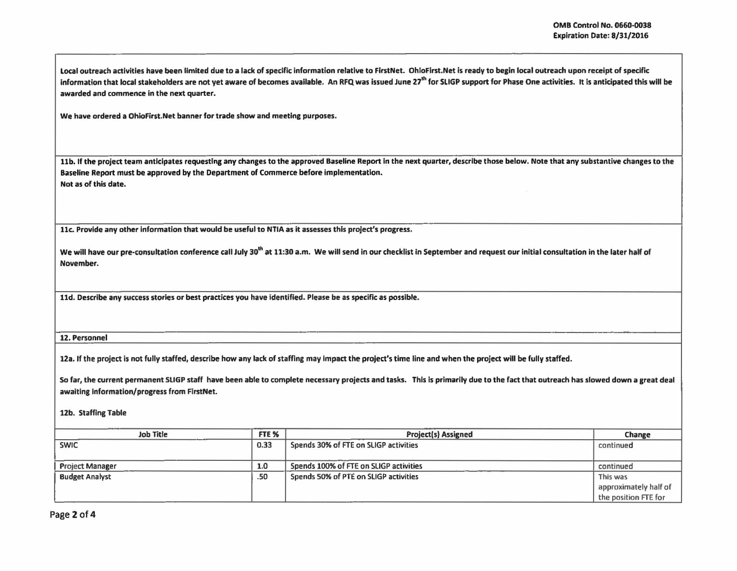Local outreach activities have been limited due to a lack of specific information relative to FirstNet. OhioFirst.Net is ready to begin local outreach upon receipt of specific information that local stakeholders are not yet aware of becomes available. An RFQ was issued June 27<sup>th</sup> for SLIGP support for Phase One activities. It is anticipated this will be awarded and commence in the next quarter.

We have ordered a OhloFirst.Net banner for trade show and meeting purposes.

11b. If the project team anticipates requesting any changes to the approved Baseline Report in the next quarter, describe those below. Note that any substantive changes to the Baseline Report must be approved by the Department of Commerce before Implementation. Not as of this date.

llc. Provide any other information that would be useful to NTIA as it assesses this project's progress.

We will have our pre-consultation conference call July 30<sup>th</sup> at 11:30 a.m. We will send in our checklist in September and request our initial consultation in the later half of November.

lld. Describe any success stories or best practices you have identified. Please be as specific as possible.

12. Personnel

12a. If the project is not fully staffed, describe how any lack of staffing may impact the project's time line and when the project will be fully staffed.

So far, the current permanent SLIGP staff have been able to complete necessary projects and tasks. This is primarily due to the fact that outreach has slowed down a great deal awaiting Information/progress from FirstNet.

12b. Staffing Table

| Job Title              | FTE <sub>%</sub> | <b>Project(s) Assigned</b>             | Change                                        |
|------------------------|------------------|----------------------------------------|-----------------------------------------------|
| <b>SWIC</b>            | 0.33             | Spends 30% of FTE on SLIGP activities  | continued                                     |
| <b>Project Manager</b> | 1.0              | Spends 100% of FTE on SLIGP activities | continued                                     |
| <b>Budget Analyst</b>  | .50              | Spends 50% of PTE on SLIGP activities  | This was                                      |
|                        |                  |                                        | approximately half of<br>the position FTE for |
|                        |                  |                                        |                                               |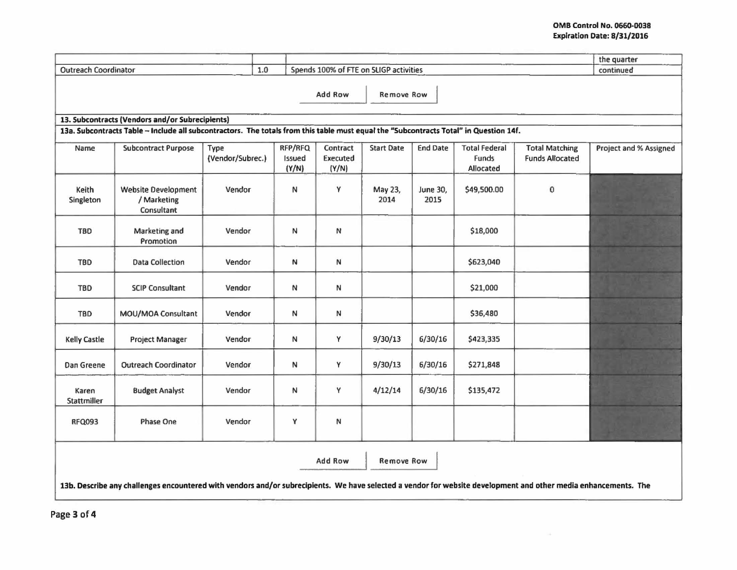## OMB Control No. 0660·0038 Expiration Date: 8/31/2016

 $\sim 10$ 

|                                                                                                                                                                 |                                                         |                          |  |                            |                                        | the quarter       |                  |                                                   |                                                 |                               |
|-----------------------------------------------------------------------------------------------------------------------------------------------------------------|---------------------------------------------------------|--------------------------|--|----------------------------|----------------------------------------|-------------------|------------------|---------------------------------------------------|-------------------------------------------------|-------------------------------|
| <b>Outreach Coordinator</b><br>1.0                                                                                                                              |                                                         |                          |  |                            | Spends 100% of FTE on SLIGP activities | continued         |                  |                                                   |                                                 |                               |
| <b>Remove Row</b><br>Add Row                                                                                                                                    |                                                         |                          |  |                            |                                        |                   |                  |                                                   |                                                 |                               |
|                                                                                                                                                                 | 13. Subcontracts (Vendors and/or Subrecipients)         |                          |  |                            |                                        |                   |                  |                                                   |                                                 |                               |
| 13a. Subcontracts Table - Include all subcontractors. The totals from this table must equal the "Subcontracts Total" in Question 14f.                           |                                                         |                          |  |                            |                                        |                   |                  |                                                   |                                                 |                               |
| Name                                                                                                                                                            | <b>Subcontract Purpose</b>                              | Type<br>(Vendor/Subrec.) |  | RFP/RFQ<br>Issued<br>(Y/N) | Contract<br>Executed<br>(Y/N)          | <b>Start Date</b> | <b>End Date</b>  | <b>Total Federal</b><br><b>Funds</b><br>Allocated | <b>Total Matching</b><br><b>Funds Allocated</b> | <b>Project and % Assigned</b> |
| Keith<br>Singleton                                                                                                                                              | <b>Website Development</b><br>/ Marketing<br>Consultant | Vendor                   |  | N                          | Y                                      | May 23,<br>2014   | June 30,<br>2015 | \$49,500.00                                       | $\mathbf 0$                                     |                               |
| <b>TBD</b>                                                                                                                                                      | Marketing and<br>Promotion                              | Vendor                   |  | N                          | N                                      |                   |                  | \$18,000                                          |                                                 |                               |
| <b>TBD</b>                                                                                                                                                      | <b>Data Collection</b>                                  | Vendor                   |  | N                          | N                                      |                   |                  | \$623,040                                         |                                                 |                               |
| <b>TBD</b>                                                                                                                                                      | <b>SCIP Consultant</b>                                  | Vendor                   |  | N                          | N                                      |                   |                  | \$21,000                                          |                                                 |                               |
| <b>TBD</b>                                                                                                                                                      | MOU/MOA Consultant                                      | Vendor                   |  | N                          | N                                      |                   |                  | \$36,480                                          |                                                 |                               |
| <b>Kelly Castle</b>                                                                                                                                             | Project Manager                                         | Vendor                   |  | N                          | Y                                      | 9/30/13           | 6/30/16          | \$423,335                                         |                                                 |                               |
| Dan Greene                                                                                                                                                      | <b>Outreach Coordinator</b>                             | Vendor                   |  | N                          | Y                                      | 9/30/13           | 6/30/16          | \$271,848                                         |                                                 |                               |
| Karen<br>Stattmiller                                                                                                                                            | <b>Budget Analyst</b>                                   | Vendor                   |  | N                          | Y                                      | 4/12/14           | 6/30/16          | \$135,472                                         |                                                 |                               |
| <b>RFQ093</b>                                                                                                                                                   | Phase One                                               | Vendor                   |  | Υ                          | N                                      |                   |                  |                                                   |                                                 |                               |
| Add Row<br><b>Remove Row</b>                                                                                                                                    |                                                         |                          |  |                            |                                        |                   |                  |                                                   |                                                 |                               |
| 13b. Describe any challenges encountered with vendors and/or subrecipients. We have selected a vendor for website development and other media enhancements. The |                                                         |                          |  |                            |                                        |                   |                  |                                                   |                                                 |                               |